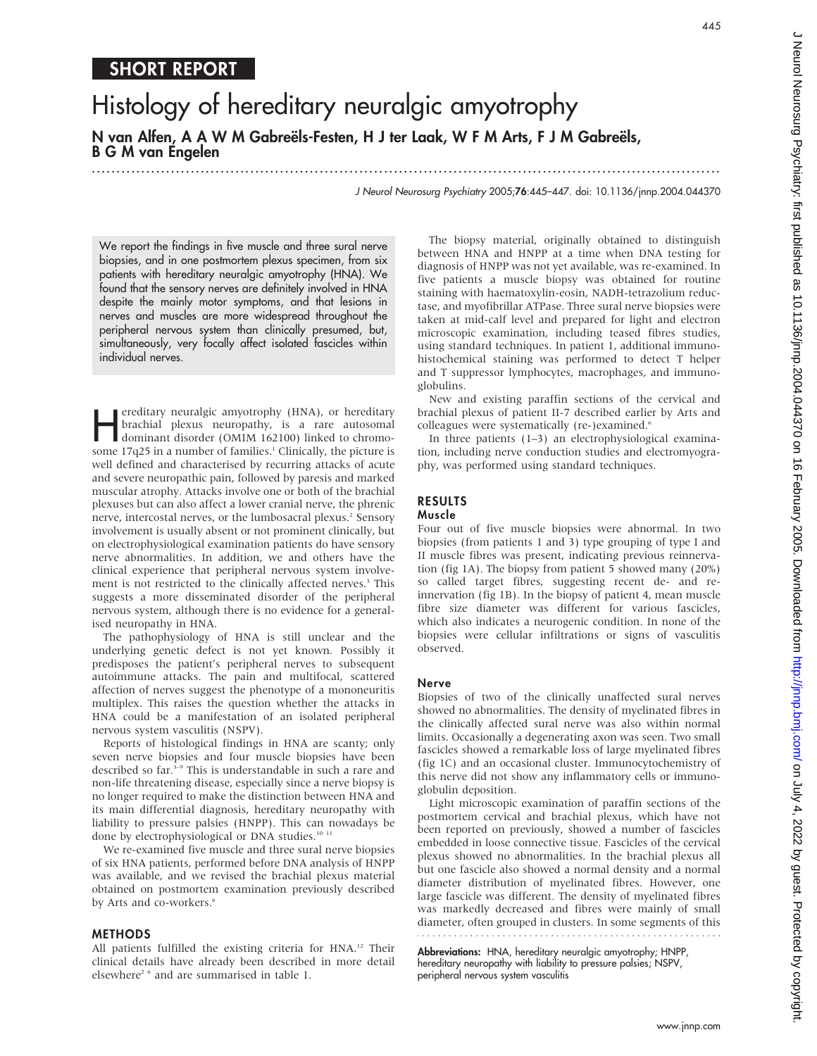445

# SHORT REPORT

# Histology of hereditary neuralgic amyotrophy N van Alfen, A A W M Gabreëls-Festen, H J ter Laak, W F M Arts, F J M Gabreëls, B G M van Engelen

...............................................................................................................................

J Neurol Neurosurg Psychiatry 2005;76:445–447. doi: 10.1136/jnnp.2004.044370

We report the findings in five muscle and three sural nerve biopsies, and in one postmortem plexus specimen, from six patients with hereditary neuralgic amyotrophy (HNA). We found that the sensory nerves are definitely involved in HNA despite the mainly motor symptoms, and that lesions in nerves and muscles are more widespread throughout the peripheral nervous system than clinically presumed, but, simultaneously, very focally affect isolated fascicles within individual nerves.

ereditary neuralgic amyotrophy (HNA), or hereditary<br>
brachial plexus neuropathy, is a rare autosomal<br>
dominant disorder (OMIM 162100) linked to chromo-<br>
some 17225 in a number of families dell'unically the nicture is brachial plexus neuropathy, is a rare autosomal some 17q25 in a number of families.<sup>1</sup> Clinically, the picture is well defined and characterised by recurring attacks of acute and severe neuropathic pain, followed by paresis and marked muscular atrophy. Attacks involve one or both of the brachial plexuses but can also affect a lower cranial nerve, the phrenic nerve, intercostal nerves, or the lumbosacral plexus.<sup>2</sup> Sensory involvement is usually absent or not prominent clinically, but on electrophysiological examination patients do have sensory nerve abnormalities. In addition, we and others have the clinical experience that peripheral nervous system involvement is not restricted to the clinically affected nerves.<sup>3</sup> This suggests a more disseminated disorder of the peripheral nervous system, although there is no evidence for a generalised neuropathy in HNA.

The pathophysiology of HNA is still unclear and the underlying genetic defect is not yet known. Possibly it predisposes the patient's peripheral nerves to subsequent autoimmune attacks. The pain and multifocal, scattered affection of nerves suggest the phenotype of a mononeuritis multiplex. This raises the question whether the attacks in HNA could be a manifestation of an isolated peripheral nervous system vasculitis (NSPV).

Reports of histological findings in HNA are scanty; only seven nerve biopsies and four muscle biopsies have been described so far.<sup>3-9</sup> This is understandable in such a rare and non-life threatening disease, especially since a nerve biopsy is no longer required to make the distinction between HNA and its main differential diagnosis, hereditary neuropathy with liability to pressure palsies (HNPP). This can nowadays be done by electrophysiological or DNA studies.<sup>10 11</sup>

We re-examined five muscle and three sural nerve biopsies of six HNA patients, performed before DNA analysis of HNPP was available, and we revised the brachial plexus material obtained on postmortem examination previously described by Arts and co-workers.<sup>6</sup>

#### METHODS

All patients fulfilled the existing criteria for HNA.<sup>12</sup> Their clinical details have already been described in more detail elsewhere<sup>2</sup> <sup>6</sup> and are summarised in table 1.

The biopsy material, originally obtained to distinguish between HNA and HNPP at a time when DNA testing for diagnosis of HNPP was not yet available, was re-examined. In five patients a muscle biopsy was obtained for routine staining with haematoxylin-eosin, NADH-tetrazolium reductase, and myofibrillar ATPase. Three sural nerve biopsies were taken at mid-calf level and prepared for light and electron microscopic examination, including teased fibres studies, using standard techniques. In patient 1, additional immunohistochemical staining was performed to detect T helper and T suppressor lymphocytes, macrophages, and immunoglobulins.

New and existing paraffin sections of the cervical and brachial plexus of patient II-7 described earlier by Arts and colleagues were systematically (re-)examined.<sup>6</sup>

In three patients (1–3) an electrophysiological examination, including nerve conduction studies and electromyography, was performed using standard techniques.

#### RESULTS

## Muscle

Four out of five muscle biopsies were abnormal. In two biopsies (from patients 1 and 3) type grouping of type I and II muscle fibres was present, indicating previous reinnervation (fig 1A). The biopsy from patient 5 showed many (20%) so called target fibres, suggesting recent de- and reinnervation (fig 1B). In the biopsy of patient 4, mean muscle fibre size diameter was different for various fascicles, which also indicates a neurogenic condition. In none of the biopsies were cellular infiltrations or signs of vasculitis observed.

#### Nerve

Biopsies of two of the clinically unaffected sural nerves showed no abnormalities. The density of myelinated fibres in the clinically affected sural nerve was also within normal limits. Occasionally a degenerating axon was seen. Two small fascicles showed a remarkable loss of large myelinated fibres (fig 1C) and an occasional cluster. Immunocytochemistry of this nerve did not show any inflammatory cells or immunoglobulin deposition.

Light microscopic examination of paraffin sections of the postmortem cervical and brachial plexus, which have not been reported on previously, showed a number of fascicles embedded in loose connective tissue. Fascicles of the cervical plexus showed no abnormalities. In the brachial plexus all but one fascicle also showed a normal density and a normal diameter distribution of myelinated fibres. However, one large fascicle was different. The density of myelinated fibres was markedly decreased and fibres were mainly of small diameter, often grouped in clusters. In some segments of this 

Abbreviations: HNA, hereditary neuralgic amyotrophy; HNPP, hereditary neuropathy with liability to pressure palsies; NSPV, peripheral nervous system vasculitis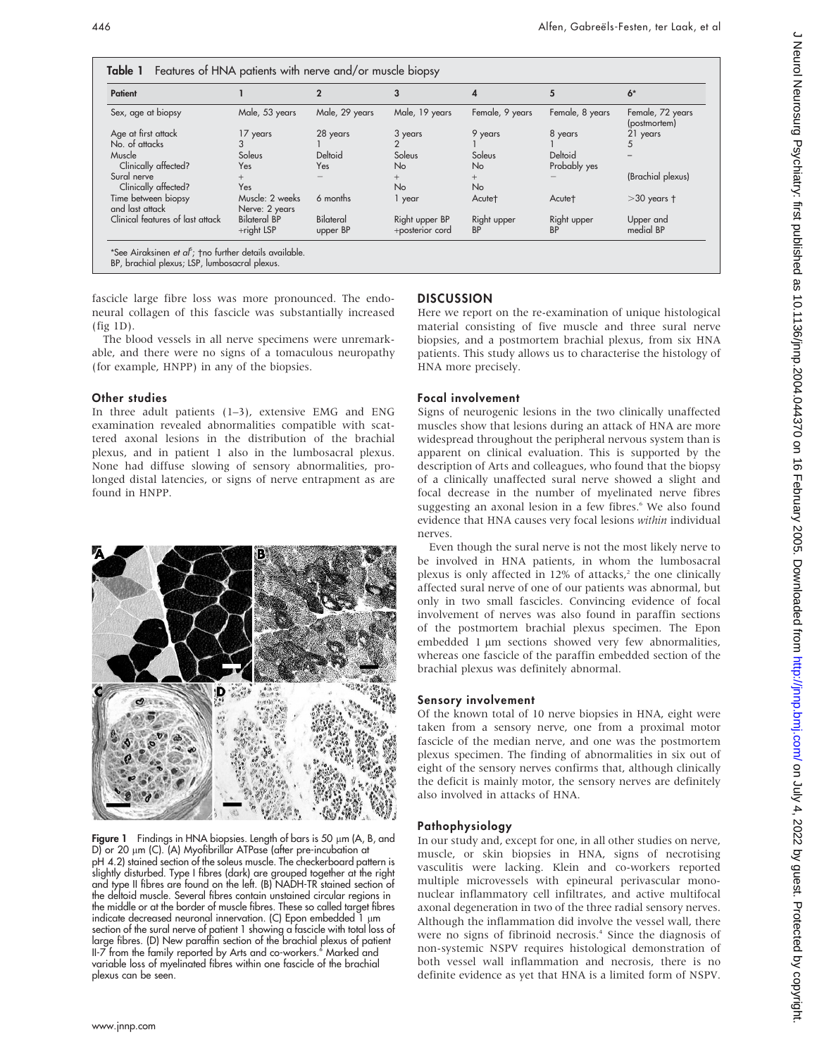| Patient                                |                                   |                       | 3                                 | 4                        | 5                        | $6*$                             |
|----------------------------------------|-----------------------------------|-----------------------|-----------------------------------|--------------------------|--------------------------|----------------------------------|
| Sex, age at biopsy                     | Male, 53 years                    | Male, 29 years        | Male, 19 years                    | Female, 9 years          | Female, 8 years          | Female, 72 years<br>(postmortem) |
| Age at first attack                    | 17 years                          | 28 years              | 3 years                           | 9 years                  | 8 years                  | 21 years                         |
| No. of attacks                         |                                   |                       |                                   |                          |                          |                                  |
| Muscle                                 | Soleus                            | Deltoid               | Soleus                            | Soleus                   | Deltoid                  |                                  |
| Clinically affected?                   | Yes                               | Yes.                  | <b>No</b>                         | <b>No</b>                | Probably yes             |                                  |
| Sural nerve                            | $^{+}$                            |                       | $^{+}$                            | $^{+}$                   |                          | (Brachial plexus)                |
| Clinically affected?                   | Yes                               |                       | <b>No</b>                         | <b>No</b>                |                          |                                  |
| Time between biopsy<br>and last attack | Muscle: 2 weeks<br>Nerve: 2 years | 6 months              | 1 year                            | Acute <sup>+</sup>       | Acute†                   | $>$ 30 years $\dagger$           |
| Clinical features of last attack       | <b>Bilateral BP</b><br>+right LSP | Bilateral<br>upper BP | Right upper BP<br>+posterior cord | Right upper<br><b>BP</b> | Right upper<br><b>BP</b> | Upper and<br>medial BP           |

BP, brachial plexus; LSP, lumbosacral plexus.

fascicle large fibre loss was more pronounced. The endoneural collagen of this fascicle was substantially increased (fig 1D).

The blood vessels in all nerve specimens were unremarkable, and there were no signs of a tomaculous neuropathy (for example, HNPP) in any of the biopsies.

#### Other studies

In three adult patients (1–3), extensive EMG and ENG examination revealed abnormalities compatible with scattered axonal lesions in the distribution of the brachial plexus, and in patient 1 also in the lumbosacral plexus. None had diffuse slowing of sensory abnormalities, prolonged distal latencies, or signs of nerve entrapment as are found in HNPP.

Figure 1 Findings in HNA biopsies. Length of bars is 50  $\mu$ m (A, B, and D) or 20  $\mu$ m (C). (A) Myofibrillar ATPase (after pre-incubation at pH 4.2) stained section of the soleus muscle. The checkerboard pattern is slightly disturbed. Type I fibres (dark) are grouped together at the right and type II fibres are found on the left. (B) NADH-TR stained section of the deltoid muscle. Several fibres contain unstained circular regions in the middle or at the border of muscle fibres. These so called target fibres indicate decreased neuronal innervation. (C) Epon embedded  $1 \mu m$ section of the sural nerve of patient 1 showing a fascicle with total loss of large fibres. (D) New paraffin section of the brachial plexus of patient II-7 from the family reported by Arts and co-workers.<sup>6</sup> Marked and variable loss of myelinated fibres within one fascicle of the brachial plexus can be seen.

## **DISCUSSION**

Here we report on the re-examination of unique histological material consisting of five muscle and three sural nerve biopsies, and a postmortem brachial plexus, from six HNA patients. This study allows us to characterise the histology of HNA more precisely.

#### Focal involvement

Signs of neurogenic lesions in the two clinically unaffected muscles show that lesions during an attack of HNA are more widespread throughout the peripheral nervous system than is apparent on clinical evaluation. This is supported by the description of Arts and colleagues, who found that the biopsy of a clinically unaffected sural nerve showed a slight and focal decrease in the number of myelinated nerve fibres suggesting an axonal lesion in a few fibres.<sup>6</sup> We also found evidence that HNA causes very focal lesions within individual nerves.

Even though the sural nerve is not the most likely nerve to be involved in HNA patients, in whom the lumbosacral plexus is only affected in  $12\%$  of attacks,<sup>2</sup> the one clinically affected sural nerve of one of our patients was abnormal, but only in two small fascicles. Convincing evidence of focal involvement of nerves was also found in paraffin sections of the postmortem brachial plexus specimen. The Epon embedded 1 µm sections showed very few abnormalities, whereas one fascicle of the paraffin embedded section of the brachial plexus was definitely abnormal.

#### Sensory involvement

Of the known total of 10 nerve biopsies in HNA, eight were taken from a sensory nerve, one from a proximal motor fascicle of the median nerve, and one was the postmortem plexus specimen. The finding of abnormalities in six out of eight of the sensory nerves confirms that, although clinically the deficit is mainly motor, the sensory nerves are definitely also involved in attacks of HNA.

#### Pathophysiology

In our study and, except for one, in all other studies on nerve, muscle, or skin biopsies in HNA, signs of necrotising vasculitis were lacking. Klein and co-workers reported multiple microvessels with epineural perivascular mononuclear inflammatory cell infiltrates, and active multifocal axonal degeneration in two of the three radial sensory nerves. Although the inflammation did involve the vessel wall, there were no signs of fibrinoid necrosis.<sup>4</sup> Since the diagnosis of non-systemic NSPV requires histological demonstration of both vessel wall inflammation and necrosis, there is no definite evidence as yet that HNA is a limited form of NSPV.